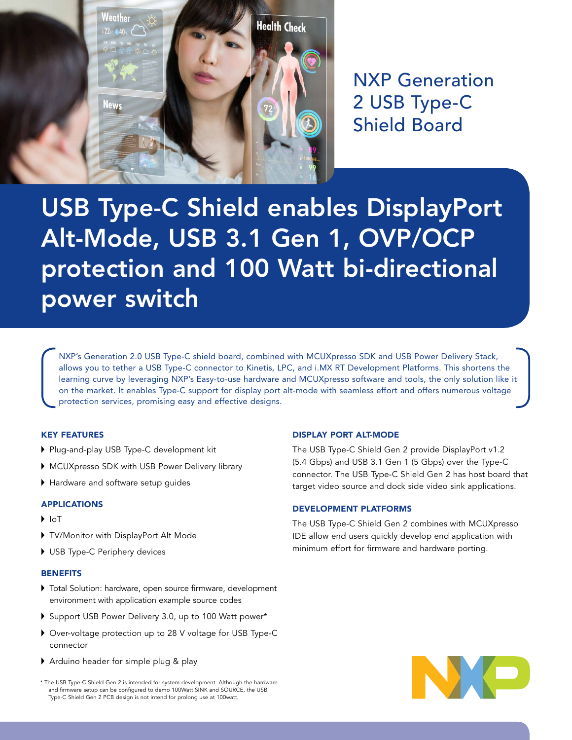

NXP Generation 2 USB Type-C Shield Board

# USB Type-C Shield enables DisplayPort Alt-Mode, USB 3.1 Gen 1, OVP/OCP protection and 100 Watt bi-directional power switch

NXP's Generation 2.0 USB Type-C shield board, combined with MCUXpresso SDK and USB Power Delivery Stack, allows you to tether a USB Type-C connector to Kinetis, LPC, and i.MX RT Development Platforms. This shortens the learning curve by leveraging NXP's Easy-to-use hardware and MCUXpresso software and tools, the only solution like it on the market. It enables Type-C support for display port alt-mode with seamless effort and offers numerous voltage protection services, promising easy and effective designs.

#### KEY FEATURES

- Plug-and-play USB Type-C development kit
- MCUXpresso SDK with USB Power Delivery library
- Hardware and software setup guides

#### APPLICATIONS

- $\blacksquare$
- TV/Monitor with DisplayPort Alt Mode
- USB Type-C Periphery devices

#### **BENEFITS**

- Total Solution: hardware, open source firmware, development environment with application example source codes
- Support USB Power Delivery 3.0, up to 100 Watt power\*
- Over-voltage protection up to 28 V voltage for USB Type-C connector
- Arduino header for simple plug & play
- \* The USB Type-C Shield Gen 2 is intended for system development. Although the hardware and firmware setup can be configured to demo 100Watt SINK and SOURCE, the USB Type-C Shield Gen 2 PCB design is not intend for prolong use at 100watt.

### DISPLAY PORT ALT-MODE

The USB Type-C Shield Gen 2 provide DisplayPort v1.2 (5.4 Gbps) and USB 3.1 Gen 1 (5 Gbps) over the Type-C connector. The USB Type-C Shield Gen 2 has host board that target video source and dock side video sink applications.

#### DEVELOPMENT PLATFORMS

The USB Type-C Shield Gen 2 combines with MCUXpresso IDE allow end users quickly develop end application with minimum effort for firmware and hardware porting.